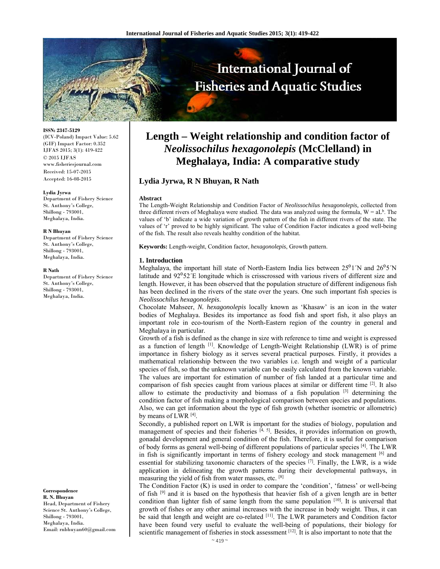

**ISSN: 2347-5129** 

(ICV-Poland) Impact Value: 5.62 (GIF) Impact Factor: 0.352 IJFAS 2015; 3(1): 419-422 © 2015 IJFAS www.fisheriesjournal.com Received: 15-07-2015 Accepted: 16-08-2015

#### **Lydia Jyrwa**

Department of Fishery Science St. Anthony's College, Shillong - 793001, Meghalaya, India.

#### **R N Bhuyan**

Department of Fishery Science St. Anthony's College, Shillong - 793001, Meghalaya, India.

#### **R Nath**

Department of Fishery Science St. Anthony's College, Shillong - 793001, Meghalaya, India.

**Correspondence R. N. Bhuyan** 

Head, Department of Fishery Science St. Anthony's College, Shillong - 793001, Meghalaya, India. Email: rnbhuyan60@gmail.com

# **Length – Weight relationship and condition factor of**  *Neolissochilus hexagonolepis* **(McClelland) in Meghalaya, India: A comparative study**

## **Lydia Jyrwa, R N Bhuyan, R Nath**

#### **Abstract**

The Length-Weight Relationship and Condition Factor of *Neolissochilus hexagonolepis,* collected from three different rivers of Meghalaya were studied. The data was analyzed using the formula,  $W = aL<sup>b</sup>$ . The values of 'b' indicate a wide variation of growth pattern of the fish in different rivers of the state. The values of 'r' proved to be highly significant. The value of Condition Factor indicates a good well-being of the fish. The result also reveals healthy condition of the habitat.

**Keywords:** Length-weight, Condition factor, *hexagonolepis*, Growth pattern.

## **1. Introduction**

Meghalaya, the important hill state of North-Eastern India lies between  $25^01'N$  and  $26^05'N$ latitude and 92°52′E longitude which is crisscrossed with various rivers of different size and length. However, it has been observed that the population structure of different indigenous fish has been declined in the rivers of the state over the years. One such important fish species is *Neolissochilus hexagonolepis*.

Chocolate Mahseer, *N. hexagonolepis* locally known as 'Khasaw' is an icon in the water bodies of Meghalaya. Besides its importance as food fish and sport fish, it also plays an important role in eco-tourism of the North-Eastern region of the country in general and Meghalaya in particular.

Growth of a fish is defined as the change in size with reference to time and weight is expressed as a function of length  $^{[1]}$ . Knowledge of Length-Weight Relationship (LWR) is of prime importance in fishery biology as it serves several practical purposes. Firstly, it provides a mathematical relationship between the two variables i.e. length and weight of a particular species of fish, so that the unknown variable can be easily calculated from the known variable. The values are important for estimation of number of fish landed at a particular time and comparison of fish species caught from various places at similar or different time  $[2]$ . It also allow to estimate the productivity and biomass of a fish population [3] determining the condition factor of fish making a morphological comparison between species and populations. Also, we can get information about the type of fish growth (whether isometric or allometric) by means of LWR [4].

Secondly, a published report on LWR is important for the studies of biology, population and management of species and their fisheries  $[4, 5]$ . Besides, it provides information on growth, gonadal development and general condition of the fish. Therefore, it is useful for comparison of body forms as general well-being of different populations of particular species [4]. The LWR in fish is significantly important in terms of fishery ecology and stock management [6] and essential for stabilizing taxonomic characters of the species <sup>[7]</sup>. Finally, the LWR, is a wide application in delineating the growth patterns during their developmental pathways, in measuring the yield of fish from water masses, etc. [8]

The Condition Factor (K) is used in order to compare the 'condition', 'fatness' or well-being of fish [9] and it is based on the hypothesis that heavier fish of a given length are in better condition than lighter fish of same length from the same population [10]. It is universal that growth of fishes or any other animal increases with the increase in body weight. Thus, it can be said that length and weight are co-related [11]. The LWR parameters and Condition factor have been found very useful to evaluate the well-being of populations, their biology for scientific management of fisheries in stock assessment [12]. It is also important to note that the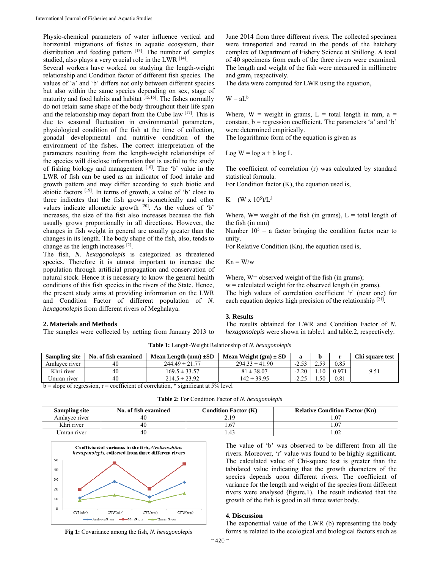Physio-chemical parameters of water influence vertical and horizontal migrations of fishes in aquatic ecosystem, their distribution and feeding pattern [13]. The number of samples studied, also plays a very crucial role in the LWR [14].

Several workers have worked on studying the length-weight relationship and Condition factor of different fish species. The values of 'a' and 'b' differs not only between different species but also within the same species depending on sex, stage of maturity and food habits and habitat <sup>[15,16]</sup>. The fishes normally do not retain same shape of the body throughout their life span and the relationship may depart from the Cube law [17]. This is due to seasonal fluctuation in environmental parameters, physiological condition of the fish at the time of collection, gonadal developmental and nutritive condition of the environment of the fishes. The correct interpretation of the parameters resulting from the length-weight relationships of the species will disclose information that is useful to the study of fishing biology and management [18]. The 'b' value in the LWR of fish can be used as an indicator of food intake and growth pattern and may differ according to such biotic and abiotic factors [19]. In terms of growth, a value of 'b' close to three indicates that the fish grows isometrically and other values indicate allometric growth [20]. As the values of 'b' increases, the size of the fish also increases because the fish usually grows proportionally in all directions. However, the changes in fish weight in general are usually greater than the changes in its length. The body shape of the fish, also, tends to change as the length increases [2].

The fish, *N. hexagonolepis* is categorized as threatened species. Therefore it is utmost important to increase the population through artificial propagation and conservation of natural stock. Hence it is necessary to know the general health conditions of this fish species in the rivers of the State. Hence, the present study aims at providing information on the LWR and Condition Factor of different population of *N. hexagonolepis* from different rivers of Meghalaya.

## **2. Materials and Methods**

The samples were collected by netting from January 2013 to

June 2014 from three different rivers. The collected specimen were transported and reared in the ponds of the hatchery complex of Department of Fishery Science at Shillong. A total of 40 specimens from each of the three rivers were examined. The length and weight of the fish were measured in millimetre and gram, respectively.

The data were computed for LWR using the equation,

$$
W = aL^b
$$

Where,  $W = weight in grams$ ,  $L = total length in mm$ ,  $a =$ constant,  $b = regression coefficient$ . The parameters 'a' and 'b' were determined empirically.

The logarithmic form of the equation is given as

Log  $W = log a + b log L$ 

The coefficient of correlation (r) was calculated by standard statistical formula.

For Condition factor (K), the equation used is,

$$
K = (W \times 10^5)/L^3
$$

Where,  $W=$  weight of the fish (in grams),  $L =$  total length of the fish (in mm)

Number  $10^5$  = a factor bringing the condition factor near to unity.

For Relative Condition (Kn), the equation used is,

 $Kn = W/w$ 

Where, W= observed weight of the fish (in grams);  $w =$  calculated weight for the observed length (in grams). The high values of correlation coefficient 'r' (near one) for each equation depicts high precision of the relationship [21].

#### **3. Results**

The results obtained for LWR and Condition Factor of *N. hexagonolepis* were shown in table.1 and table.2, respectively.

| Sampling site | No. of fish examined | Mean Length $(mm) \pm SD$ | Mean Weight $(gm) \pm SD$ | a       |       |       | Chi square test |
|---------------|----------------------|---------------------------|---------------------------|---------|-------|-------|-----------------|
| Amlayee river | 40                   | $244.49 \pm 21.77$        | $294.33 \pm 41.90$        | $-2.53$ | າ  ເດ | 0.85  |                 |
| Khri river    | 40                   | $169.5 \pm 33.57$         | $81 \pm 38.07$            | $-2.20$ | 1.10  | 0.971 | 9.51            |
| Umran river   | 40                   | $214.5 \pm 23.92$         | $142 \pm 39.95$           | 225     | -50   | 0.81  |                 |

**Table 1:** Length-Weight Relationship of *N. hexagonolepis*

 $b = slope of regression, r = coefficient of correlation, * significant at 5% level$ 

| <b>Table 2:</b> For Condition Factor of N. hexagonolepis |  |
|----------------------------------------------------------|--|
|----------------------------------------------------------|--|

| <b>Sampling site</b> | No. of fish examined | <b>Condition Factor (K)</b> | <b>Relative Condition Factor (Kn)</b> |
|----------------------|----------------------|-----------------------------|---------------------------------------|
| Amlayee river        |                      |                             |                                       |
| Khri river           |                      |                             | .0 <sup>7</sup>                       |
| Jmran river          |                      |                             | .02                                   |



The value of 'b' was observed to be different from all the rivers. Moreover, 'r' value was found to be highly significant. The calculated value of Chi-square test is greater than the tabulated value indicating that the growth characters of the species depends upon different rivers. The coefficient of variance for the length and weight of the species from different rivers were analysed (figure.1). The result indicated that the growth of the fish is good in all three water body.

## **4. Discussion**

**Fig 1:** Covariance among the fish, *N. hexagonolepis*

The exponential value of the LWR (b) representing the body forms is related to the ecological and biological factors such as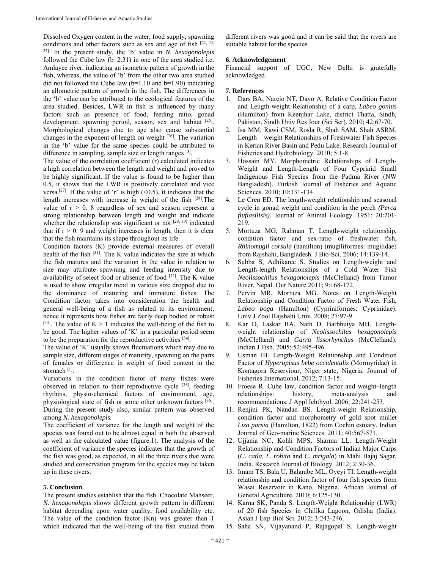Dissolved Oxygen content in the water, food supply, spawning conditions and other factors such as sex and age of fish  $[22, 23, 12]$ 24]. In the present study, the 'b' value in *N. hexagonolepis* followed the Cube law (b=2.31) in one of the area studied i.e. Amlayee river, indicating an isometric pattern of growth in the fish, whereas, the value of 'b' from the other two area studied did not followed the Cube law  $(b=1.10$  and  $b=1.90)$  indicating an allometric pattern of growth in the fish. The differences in the 'b' value can be attributed to the ecological features of the area studied. Besides, LWR in fish is influenced by many factors such as presence of food, feeding ratio, gonad development, spawning period, season, sex and habitat [25]. Morphological changes due to age also cause substantial changes in the exponent of length on weight [26]. The variation in the 'b' value for the same species could be attributed to difference in sampling, sample size or length ranges [3].

The value of the correlation coefficient (r) calculated indicates a high correlation between the length and weight and proved to be highly significant. If the value is found to be higher than 0.5, it shows that the LWR is positively correlated and vice versa <sup>[27]</sup>. If the value of 'r' is high  $(\le 0.5)$ , it indicates that the length increases with increase in weight of the fish [28].The value of  $r > 0$ . 8 regardless of sex and season represent a strong relationship between length and weight and indicate whether the relationship was significant or not [29, 30] indicated that if  $r > 0$ . 9 and weight increases in length, then it is clear that the fish maintains its shape throughout its life.

Condition factors (K) provide external measures of overall health of the fish  $[31]$ . The K value indicates the size at which the fish matures and the variation in the value in relation to size may attribute spawning and feeding intensity due to availability of select food or absence of food [32]. The K value is used to show irregular trend in various size dropped due to the dominance of maturing and immature fishes. The Condition factor takes into consideration the health and general well-being of a fish as related to its environment; hence it represents how fishes are fairly deep bodied or robust [33]. The value of  $K > 1$  indicates the well-being of the fish to be good. The higher values of 'K' in a particular period seem to be the preparation for the reproductive activities [34].

The value of 'K' usually shows fluctuations which may due to sample size, different stages of maturity, spawning on the parts of females or difference in weight of food content in the stomach [1].

Variations in the condition factor of many fishes were observed in relation to their reproductive cycle [35], feeding rhythms, physio-chemical factors of environment, age, physiological state of fish or some other unknown factors [36]. During the present study also, similar pattern was observed among *N. hexagonolepis.* 

The coefficient of variance for the length and weight of the species was found out to be almost equal in both the observed as well as the calculated value (figure.1). The analysis of the coefficient of variance the species indicates that the growth of the fish was good, as expected, in all the three rivers that were studied and conservation program for the species may be taken up in these rivers.

#### **5. Conclusion**

The present studies establish that the fish, Chocolate Mahseer, *N. hexagonolepis* shows different growth pattern in different habitat depending upon water quality, food availability etc. The value of the condition factor (Kn) was greater than 1 which indicated that the well-being of the fish studied from

different rivers was good and it can be said that the rivers are suitable habitat for the species.

## **6. Acknowledgement**

Financial support of UGC, New Delhi is gratefully acknowledged.

## **7. References**

- 1. Dars BA, Narejo NT, Dayo A. Relative Condition Factor and Length-weight Relationship of a carp*, Labeo gonius* (Hamilton) from Keenjhar Lake, district Thatta, Sindh, Pakistan. Sindh Univ Res Jour (Sci Ser). 2010; 42:67-70.
- 2. Isa MM, Rawi CSM, Rosla R, Shah SAM, Shah ASRM. Length – weight Relationships of Freshwater Fish Species in Kerian River Basin and Pedu Lake. Research Journal of Fisheries and Hydrobiology. 2010; 5:1-8.
- 3. Hossain MY. Morphometric Relationships of Length-Weight and Length-Length of Four Cyprinid Small Indigenous Fish Species from the Padma River (NW Bangladesh). Turkish Journal of Fisheries and Aquatic Sciences. 2010; 10:131-134.
- 4. Le Cren ED. The length-weight relationship and seasonal cycle in gonad weight and condition in the perch *(Perca flufiasilisis)*. Journal of Animal Ecology. 1951; 20:201- 219.
- 5. Mortuza MG, Rahman T. Length-weight relationship, condition factor and sex-ratio of freshwater fish, *Rhinomugil corsula* (hamilton) (mugiliformes: mugilidae) from Rajshahi, Bangladesh. J Bio-Sci. 2006; 14:139-14.
- 6. Subba S, Adhikaree S. Studies on Length-weight and Length-length Relationships of a Cold Water Fish *Neolissochilus hexagonolepis* (McClelland) from Tamor River, Nepal. Our Nature 2011; 9:168-172.
- 7. Pervin MR, Mortuza MG. Notes on Length-Weight Relationship and Condition Factor of Fresh Water Fish, *Labeo boga* (Hamilton) (Cypriniformes: Cyprinidae). Univ J Zool Rajshahi Univ. 2008; 27:97-9
- 8. Kar D, Laskar BA, Nath D, Barbhuiya MH. Lengthweight relationship of *Neolissochilus hexagonolepis* (McClelland) and *Garra lissorhynchus* (McClelland). Indian J Fish. 2005; 52:495-496.
- 9. Usman IB. Length-Weight Relationship and Condition Factor of *Hyperopisus bebe occidentalis* (Mormyridae) in Kontagora Reserviour, Niger state, Nigeria. Journal of Fisheries International. 2012; 7:13-15.
- 10. Froese R. Cube law, condition factor and weight–length relationships: history, meta-analysis and recommendations. J Appl Ichthyol. 2006; 22:241-253.
- 11. Renjini PK, Nandan BS. Length-weight Relationship, condition factor and morphometry of gold spot mullet *Liza parsia* (Hamilton, 1822) from Cochin estuary. Indian Journal of Geo-marine Sciences. 2011; 40:567-571.
- 12. Ujjania NC, Kohli MPS, Sharma LL. Length-Weight Relationship and Condition Factors of Indian Major Carps (*C. catla, L. rohita* and *C. mrigala*) in Mahi Bajaj Sagar, India. Research Journal of Biology. 2012; 2:30-36.
- 13. Imam TS, Bala U, Balarabe ML, Oyeyi TI. Length-weight relationship and condition factor of four fish species from Wasai Reservoir in Kano, Nigeria. African Journal of General Agriculture. 2010; 6:125-130.
- 14. Karna SK, Panda S. Length-Weight Relationship (LWR) of 20 fish Species in Chilika Lagoon, Odisha (India). Asian J Exp Biol Sci. 2012; 3:243-246.
- 15. Saha SN, Vijayanand P, Rajagopal S. Length-weight